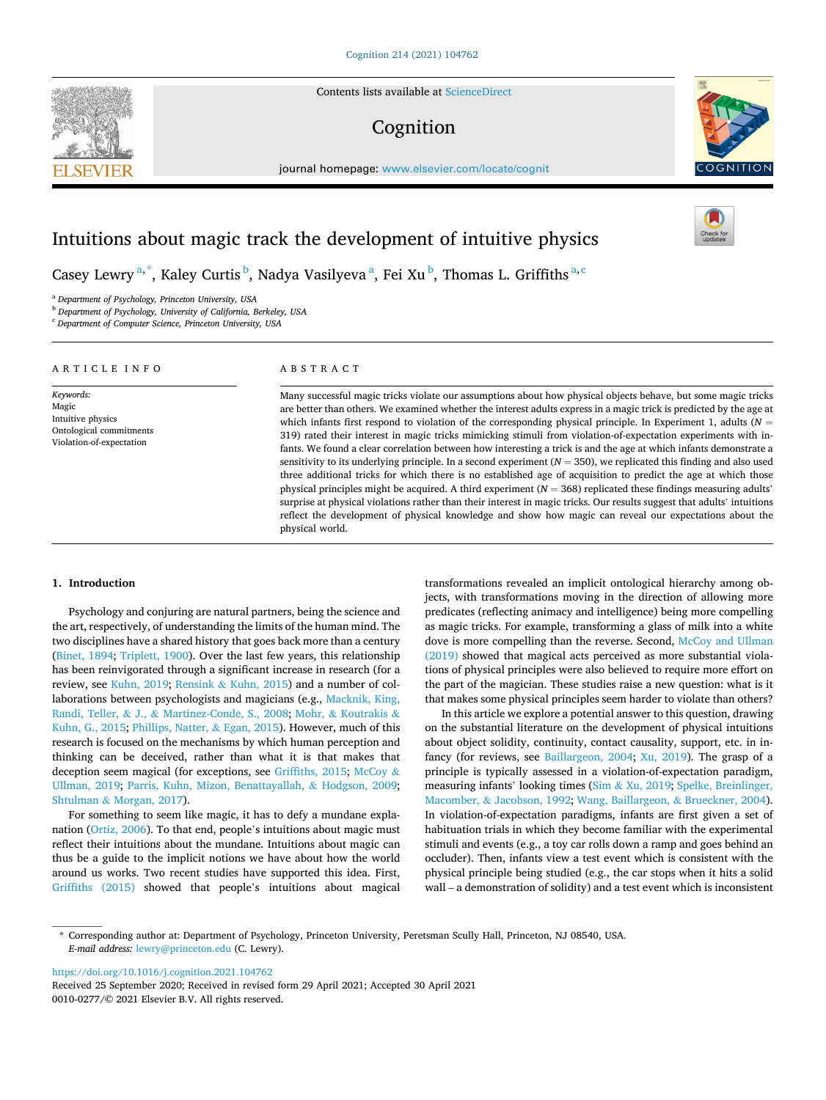Contents lists available at [ScienceDirect](www.sciencedirect.com/science/journal/00100277)

# Cognition

journal homepage: [www.elsevier.com/locate/cognit](https://www.elsevier.com/locate/cognit)



# Intuitions about magic track the development of intuitive physics

Casey Lewry  $a^*$ , Kaley Curtis  $^b$ , Nadya Vasilyeva  $^a$ , Fei Xu  $^b$ , Thomas L. Griffiths  $^{a,c}$ 

<sup>a</sup> *Department of Psychology, Princeton University, USA* 

<sup>b</sup> *Department of Psychology, University of California, Berkeley, USA* 

<sup>c</sup> *Department of Computer Science, Princeton University, USA* 

#### ARTICLE INFO

*Keywords:*  Magic Intuitive physics Ontological commitments Violation-of-expectation

# ABSTRACT

Many successful magic tricks violate our assumptions about how physical objects behave, but some magic tricks are better than others. We examined whether the interest adults express in a magic trick is predicted by the age at which infants first respond to violation of the corresponding physical principle. In Experiment 1, adults (*N* = 319) rated their interest in magic tricks mimicking stimuli from violation-of-expectation experiments with infants. We found a clear correlation between how interesting a trick is and the age at which infants demonstrate a sensitivity to its underlying principle. In a second experiment  $(N = 350)$ , we replicated this finding and also used three additional tricks for which there is no established age of acquisition to predict the age at which those physical principles might be acquired. A third experiment (*N* = 368) replicated these findings measuring adults' surprise at physical violations rather than their interest in magic tricks. Our results suggest that adults' intuitions reflect the development of physical knowledge and show how magic can reveal our expectations about the physical world.

# **1. Introduction**

Psychology and conjuring are natural partners, being the science and the art, respectively, of understanding the limits of the human mind. The two disciplines have a shared history that goes back more than a century ([Binet, 1894;](#page-5-0) [Triplett, 1900\)](#page-6-0). Over the last few years, this relationship has been reinvigorated through a significant increase in research (for a review, see [Kuhn, 2019;](#page-5-0) Rensink & [Kuhn, 2015\)](#page-5-0) and a number of collaborations between psychologists and magicians (e.g., [Macknik, King,](#page-5-0)  Randi, Teller, & J., & [Martinez-Conde, S., 2008](#page-5-0); Mohr, & [Koutrakis](#page-5-0) & [Kuhn, G., 2015; Phillips, Natter,](#page-5-0) & Egan, 2015). However, much of this research is focused on the mechanisms by which human perception and thinking can be deceived, rather than what it is that makes that deception seem magical (for exceptions, see [Griffiths, 2015](#page-5-0); [McCoy](#page-5-0) & [Ullman, 2019;](#page-5-0) [Parris, Kuhn, Mizon, Benattayallah,](#page-5-0) & Hodgson, 2009; Shtulman & [Morgan, 2017](#page-5-0)).

For something to seem like magic, it has to defy a mundane explanation [\(Ortiz, 2006\)](#page-5-0). To that end, people's intuitions about magic must reflect their intuitions about the mundane. Intuitions about magic can thus be a guide to the implicit notions we have about how the world around us works. Two recent studies have supported this idea. First, [Griffiths \(2015\)](#page-5-0) showed that people's intuitions about magical transformations revealed an implicit ontological hierarchy among objects, with transformations moving in the direction of allowing more predicates (reflecting animacy and intelligence) being more compelling as magic tricks. For example, transforming a glass of milk into a white dove is more compelling than the reverse. Second, [McCoy and Ullman](#page-5-0)  [\(2019\)](#page-5-0) showed that magical acts perceived as more substantial violations of physical principles were also believed to require more effort on the part of the magician. These studies raise a new question: what is it that makes some physical principles seem harder to violate than others?

In this article we explore a potential answer to this question, drawing on the substantial literature on the development of physical intuitions about object solidity, continuity, contact causality, support, etc. in infancy (for reviews, see [Baillargeon, 2004](#page-5-0); [Xu, 2019](#page-6-0)). The grasp of a principle is typically assessed in a violation-of-expectation paradigm, measuring infants' looking times (Sim & [Xu, 2019;](#page-5-0) [Spelke, Breinlinger,](#page-5-0)  Macomber, & [Jacobson, 1992;](#page-5-0) [Wang, Baillargeon,](#page-6-0) & Brueckner, 2004). In violation-of-expectation paradigms, infants are first given a set of habituation trials in which they become familiar with the experimental stimuli and events (e.g., a toy car rolls down a ramp and goes behind an occluder). Then, infants view a test event which is consistent with the physical principle being studied (e.g., the car stops when it hits a solid wall – a demonstration of solidity) and a test event which is inconsistent

<https://doi.org/10.1016/j.cognition.2021.104762>

0010-0277/© 2021 Elsevier B.V. All rights reserved. Received 25 September 2020; Received in revised form 29 April 2021; Accepted 30 April 2021



<sup>\*</sup> Corresponding author at: Department of Psychology, Princeton University, Peretsman Scully Hall, Princeton, NJ 08540, USA. *E-mail address:* [lewry@princeton.edu](mailto:lewry@princeton.edu) (C. Lewry).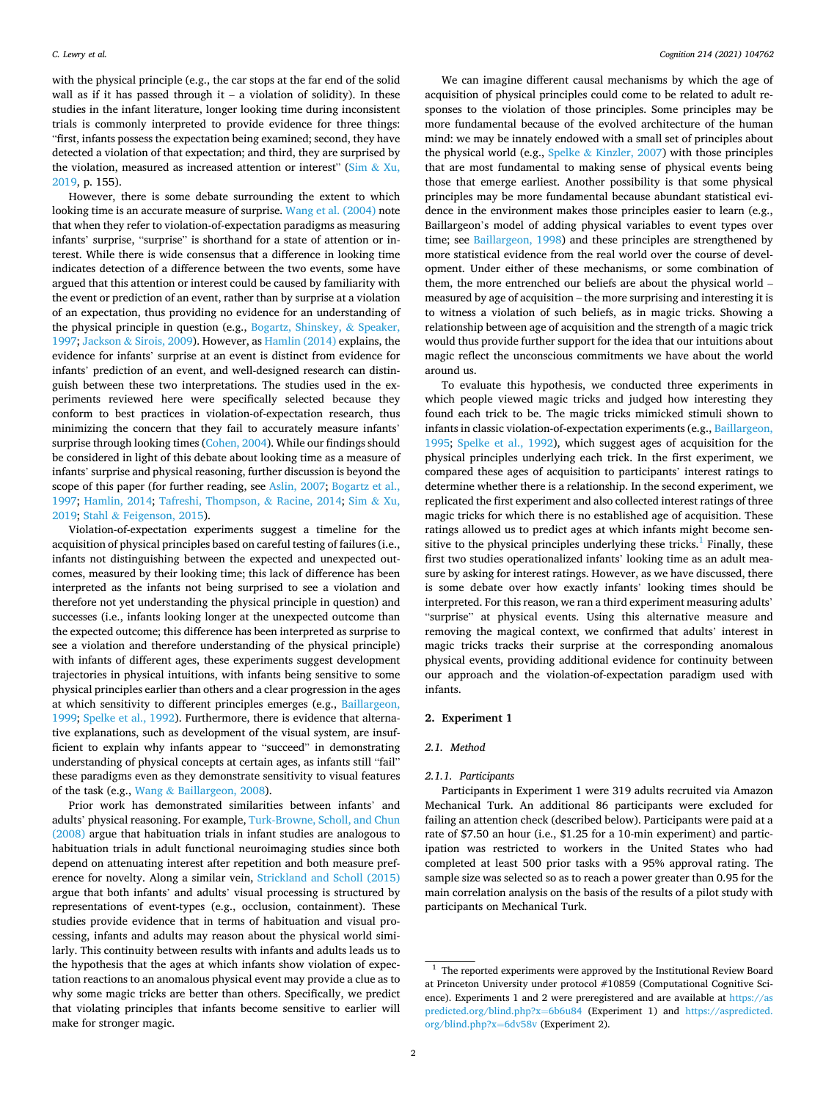with the physical principle (e.g., the car stops at the far end of the solid wall as if it has passed through it  $-$  a violation of solidity). In these studies in the infant literature, longer looking time during inconsistent trials is commonly interpreted to provide evidence for three things: "first, infants possess the expectation being examined; second, they have detected a violation of that expectation; and third, they are surprised by the violation, measured as increased attention or interest" ( $Sim & Xu$  $Sim & Xu$ , [2019,](#page-5-0) p. 155).

However, there is some debate surrounding the extent to which looking time is an accurate measure of surprise. [Wang et al. \(2004\)](#page-6-0) note that when they refer to violation-of-expectation paradigms as measuring infants' surprise, "surprise" is shorthand for a state of attention or interest. While there is wide consensus that a difference in looking time indicates detection of a difference between the two events, some have argued that this attention or interest could be caused by familiarity with the event or prediction of an event, rather than by surprise at a violation of an expectation, thus providing no evidence for an understanding of the physical principle in question (e.g., [Bogartz, Shinskey,](#page-5-0) & Speaker, [1997;](#page-5-0) Jackson & [Sirois, 2009\)](#page-5-0). However, as [Hamlin \(2014\)](#page-5-0) explains, the evidence for infants' surprise at an event is distinct from evidence for infants' prediction of an event, and well-designed research can distinguish between these two interpretations. The studies used in the experiments reviewed here were specifically selected because they conform to best practices in violation-of-expectation research, thus minimizing the concern that they fail to accurately measure infants' surprise through looking times [\(Cohen, 2004\)](#page-5-0). While our findings should be considered in light of this debate about looking time as a measure of infants' surprise and physical reasoning, further discussion is beyond the scope of this paper (for further reading, see [Aslin, 2007; Bogartz et al.,](#page-5-0)  [1997;](#page-5-0) [Hamlin, 2014;](#page-5-0) [Tafreshi, Thompson,](#page-6-0) & Racine, 2014; [Sim](#page-5-0) & Xu, [2019;](#page-5-0) Stahl & [Feigenson, 2015\)](#page-5-0).

Violation-of-expectation experiments suggest a timeline for the acquisition of physical principles based on careful testing of failures (i.e., infants not distinguishing between the expected and unexpected outcomes, measured by their looking time; this lack of difference has been interpreted as the infants not being surprised to see a violation and therefore not yet understanding the physical principle in question) and successes (i.e., infants looking longer at the unexpected outcome than the expected outcome; this difference has been interpreted as surprise to see a violation and therefore understanding of the physical principle) with infants of different ages, these experiments suggest development trajectories in physical intuitions, with infants being sensitive to some physical principles earlier than others and a clear progression in the ages at which sensitivity to different principles emerges (e.g., [Baillargeon,](#page-5-0)  [1999; Spelke et al., 1992](#page-5-0)). Furthermore, there is evidence that alternative explanations, such as development of the visual system, are insufficient to explain why infants appear to "succeed" in demonstrating understanding of physical concepts at certain ages, as infants still "fail" these paradigms even as they demonstrate sensitivity to visual features of the task (e.g., Wang & [Baillargeon, 2008](#page-6-0)).

Prior work has demonstrated similarities between infants' and adults' physical reasoning. For example, [Turk-Browne, Scholl, and Chun](#page-6-0)  [\(2008\)](#page-6-0) argue that habituation trials in infant studies are analogous to habituation trials in adult functional neuroimaging studies since both depend on attenuating interest after repetition and both measure preference for novelty. Along a similar vein, [Strickland and Scholl \(2015\)](#page-5-0)  argue that both infants' and adults' visual processing is structured by representations of event-types (e.g., occlusion, containment). These studies provide evidence that in terms of habituation and visual processing, infants and adults may reason about the physical world similarly. This continuity between results with infants and adults leads us to the hypothesis that the ages at which infants show violation of expectation reactions to an anomalous physical event may provide a clue as to why some magic tricks are better than others. Specifically, we predict that violating principles that infants become sensitive to earlier will make for stronger magic.

We can imagine different causal mechanisms by which the age of acquisition of physical principles could come to be related to adult responses to the violation of those principles. Some principles may be more fundamental because of the evolved architecture of the human mind: we may be innately endowed with a small set of principles about the physical world (e.g., Spelke & [Kinzler, 2007\)](#page-5-0) with those principles that are most fundamental to making sense of physical events being those that emerge earliest. Another possibility is that some physical principles may be more fundamental because abundant statistical evidence in the environment makes those principles easier to learn (e.g., Baillargeon's model of adding physical variables to event types over time; see [Baillargeon, 1998](#page-5-0)) and these principles are strengthened by more statistical evidence from the real world over the course of development. Under either of these mechanisms, or some combination of them, the more entrenched our beliefs are about the physical world – measured by age of acquisition – the more surprising and interesting it is to witness a violation of such beliefs, as in magic tricks. Showing a relationship between age of acquisition and the strength of a magic trick would thus provide further support for the idea that our intuitions about magic reflect the unconscious commitments we have about the world around us.

To evaluate this hypothesis, we conducted three experiments in which people viewed magic tricks and judged how interesting they found each trick to be. The magic tricks mimicked stimuli shown to infants in classic violation-of-expectation experiments (e.g., [Baillargeon,](#page-5-0)  [1995;](#page-5-0) [Spelke et al., 1992\)](#page-5-0), which suggest ages of acquisition for the physical principles underlying each trick. In the first experiment, we compared these ages of acquisition to participants' interest ratings to determine whether there is a relationship. In the second experiment, we replicated the first experiment and also collected interest ratings of three magic tricks for which there is no established age of acquisition. These ratings allowed us to predict ages at which infants might become sensitive to the physical principles underlying these tricks. $\frac{1}{1}$  Finally, these first two studies operationalized infants' looking time as an adult measure by asking for interest ratings. However, as we have discussed, there is some debate over how exactly infants' looking times should be interpreted. For this reason, we ran a third experiment measuring adults' "surprise" at physical events. Using this alternative measure and removing the magical context, we confirmed that adults' interest in magic tricks tracks their surprise at the corresponding anomalous physical events, providing additional evidence for continuity between our approach and the violation-of-expectation paradigm used with infants.

# **2. Experiment 1**

# *2.1. Method*

### *2.1.1. Participants*

Participants in Experiment 1 were 319 adults recruited via Amazon Mechanical Turk. An additional 86 participants were excluded for failing an attention check (described below). Participants were paid at a rate of \$7.50 an hour (i.e., \$1.25 for a 10-min experiment) and participation was restricted to workers in the United States who had completed at least 500 prior tasks with a 95% approval rating. The sample size was selected so as to reach a power greater than 0.95 for the main correlation analysis on the basis of the results of a pilot study with participants on Mechanical Turk.

 $^{\rm 1}$  The reported experiments were approved by the Institutional Review Board at Princeton University under protocol #10859 (Computational Cognitive Science). Experiments 1 and 2 were preregistered and are available at [https://as](https://aspredicted.org/blind.php?x=6b6u84)  [predicted.org/blind.php?x](https://aspredicted.org/blind.php?x=6b6u84)=6b6u84 (Experiment 1) and [https://aspredicted.](https://aspredicted.org/blind.php?x=6dv58v)  [org/blind.php?x](https://aspredicted.org/blind.php?x=6dv58v)=6dv58v (Experiment 2).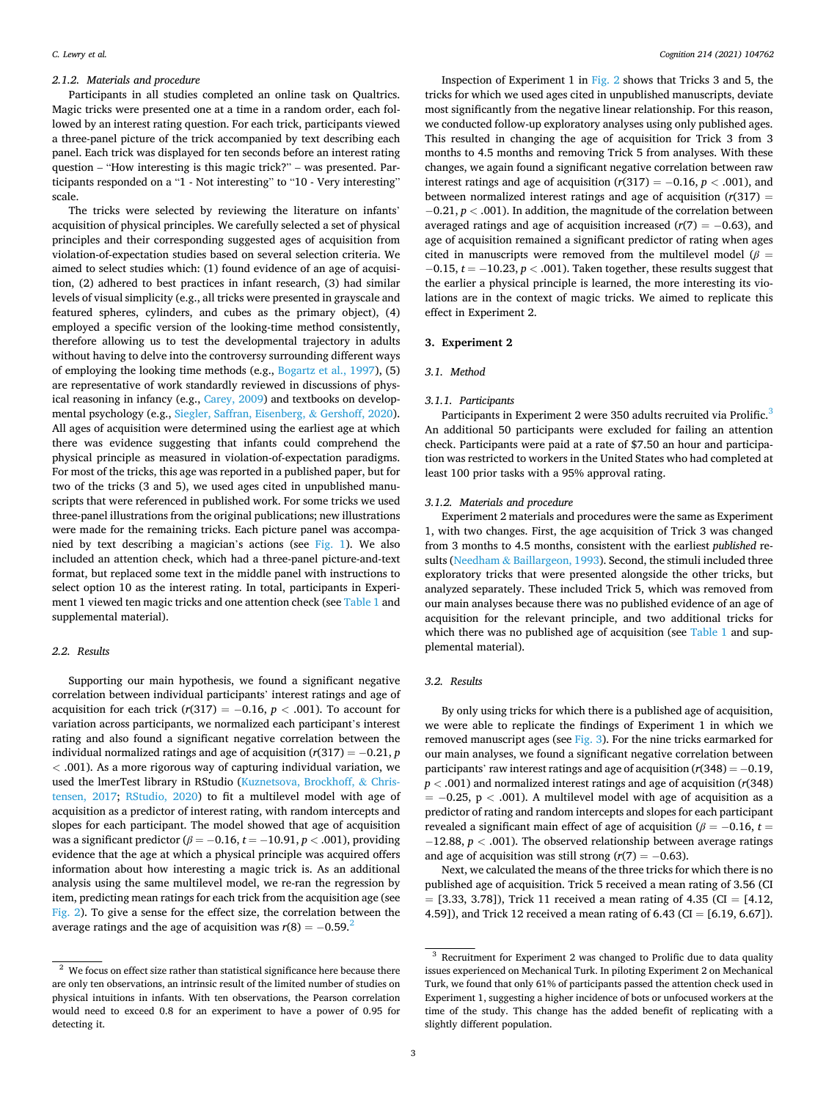# *2.1.2. Materials and procedure*

Participants in all studies completed an online task on Qualtrics. Magic tricks were presented one at a time in a random order, each followed by an interest rating question. For each trick, participants viewed a three-panel picture of the trick accompanied by text describing each panel. Each trick was displayed for ten seconds before an interest rating question – "How interesting is this magic trick?" – was presented. Participants responded on a "1 - Not interesting" to "10 - Very interesting" scale.

The tricks were selected by reviewing the literature on infants' acquisition of physical principles. We carefully selected a set of physical principles and their corresponding suggested ages of acquisition from violation-of-expectation studies based on several selection criteria. We aimed to select studies which: (1) found evidence of an age of acquisition, (2) adhered to best practices in infant research, (3) had similar levels of visual simplicity (e.g., all tricks were presented in grayscale and featured spheres, cylinders, and cubes as the primary object), (4) employed a specific version of the looking-time method consistently, therefore allowing us to test the developmental trajectory in adults without having to delve into the controversy surrounding different ways of employing the looking time methods (e.g., [Bogartz et al., 1997](#page-5-0)), (5) are representative of work standardly reviewed in discussions of physical reasoning in infancy (e.g., [Carey, 2009](#page-5-0)) and textbooks on developmental psychology (e.g., [Siegler, Saffran, Eisenberg,](#page-5-0) & Gershoff, 2020). All ages of acquisition were determined using the earliest age at which there was evidence suggesting that infants could comprehend the physical principle as measured in violation-of-expectation paradigms. For most of the tricks, this age was reported in a published paper, but for two of the tricks (3 and 5), we used ages cited in unpublished manuscripts that were referenced in published work. For some tricks we used three-panel illustrations from the original publications; new illustrations were made for the remaining tricks. Each picture panel was accompanied by text describing a magician's actions (see [Fig. 1](#page-3-0)). We also included an attention check, which had a three-panel picture-and-text format, but replaced some text in the middle panel with instructions to select option 10 as the interest rating. In total, participants in Experiment 1 viewed ten magic tricks and one attention check (see [Table 1](#page-3-0) and supplemental material).

### *2.2. Results*

Supporting our main hypothesis, we found a significant negative correlation between individual participants' interest ratings and age of acquisition for each trick  $(r(317) = -0.16, p < .001)$ . To account for variation across participants, we normalized each participant's interest rating and also found a significant negative correlation between the individual normalized ratings and age of acquisition (*r*(317) = − 0.21, *p <* .001). As a more rigorous way of capturing individual variation, we used the lmerTest library in RStudio [\(Kuznetsova, Brockhoff,](#page-5-0) & Chris[tensen, 2017](#page-5-0); [RStudio, 2020\)](#page-5-0) to fit a multilevel model with age of acquisition as a predictor of interest rating, with random intercepts and slopes for each participant. The model showed that age of acquisition was a significant predictor ( $\beta = -0.16$ ,  $t = -10.91$ ,  $p < .001$ ), providing evidence that the age at which a physical principle was acquired offers information about how interesting a magic trick is. As an additional analysis using the same multilevel model, we re-ran the regression by item, predicting mean ratings for each trick from the acquisition age (see [Fig. 2\)](#page-3-0). To give a sense for the effect size, the correlation between the average ratings and the age of acquisition was  $r(8) = -0.59$ .<sup>2</sup>

Inspection of Experiment 1 in [Fig. 2](#page-3-0) shows that Tricks 3 and 5, the tricks for which we used ages cited in unpublished manuscripts, deviate most significantly from the negative linear relationship. For this reason, we conducted follow-up exploratory analyses using only published ages. This resulted in changing the age of acquisition for Trick 3 from 3 months to 4.5 months and removing Trick 5 from analyses. With these changes, we again found a significant negative correlation between raw interest ratings and age of acquisition  $(r(317) = -0.16, p < .001)$ , and between normalized interest ratings and age of acquisition  $(r(317)) =$ − 0.21, *p <* .001). In addition, the magnitude of the correlation between averaged ratings and age of acquisition increased  $(r(7) = -0.63)$ , and age of acquisition remained a significant predictor of rating when ages cited in manuscripts were removed from the multilevel model ( $\beta$  = − 0.15, *t* = − 10.23, *p <* .001). Taken together, these results suggest that the earlier a physical principle is learned, the more interesting its violations are in the context of magic tricks. We aimed to replicate this effect in Experiment 2.

## **3. Experiment 2**

#### *3.1. Method*

### *3.1.1. Participants*

Participants in Experiment 2 were 350 adults recruited via Prolific.<sup>3</sup> An additional 50 participants were excluded for failing an attention check. Participants were paid at a rate of \$7.50 an hour and participation was restricted to workers in the United States who had completed at least 100 prior tasks with a 95% approval rating.

#### *3.1.2. Materials and procedure*

Experiment 2 materials and procedures were the same as Experiment 1, with two changes. First, the age acquisition of Trick 3 was changed from 3 months to 4.5 months, consistent with the earliest *published* results (Needham & [Baillargeon, 1993](#page-5-0)). Second, the stimuli included three exploratory tricks that were presented alongside the other tricks, but analyzed separately. These included Trick 5, which was removed from our main analyses because there was no published evidence of an age of acquisition for the relevant principle, and two additional tricks for which there was no published age of acquisition (see [Table 1](#page-3-0) and supplemental material).

# *3.2. Results*

By only using tricks for which there is a published age of acquisition, we were able to replicate the findings of Experiment 1 in which we removed manuscript ages (see [Fig. 3](#page-4-0)). For the nine tricks earmarked for our main analyses, we found a significant negative correlation between participants' raw interest ratings and age of acquisition (*r*(348) = − 0.19, *p <* .001) and normalized interest ratings and age of acquisition (*r*(348) = − 0.25, p *<* .001). A multilevel model with age of acquisition as a predictor of rating and random intercepts and slopes for each participant revealed a significant main effect of age of acquisition ( $\beta = -0.16$ ,  $t =$ − 12.88, *p <* .001). The observed relationship between average ratings and age of acquisition was still strong  $(r(7) = -0.63)$ .

Next, we calculated the means of the three tricks for which there is no published age of acquisition. Trick 5 received a mean rating of 3.56 (CI  $=$  [3.33, 3.78]), Trick 11 received a mean rating of 4.35 (CI = [4.12, 4.59]), and Trick 12 received a mean rating of  $6.43$  (CI =  $[6.19, 6.67]$ ).

 $2$  We focus on effect size rather than statistical significance here because there are only ten observations, an intrinsic result of the limited number of studies on physical intuitions in infants. With ten observations, the Pearson correlation would need to exceed 0.8 for an experiment to have a power of 0.95 for detecting it.

<sup>&</sup>lt;sup>3</sup> Recruitment for Experiment 2 was changed to Prolific due to data quality issues experienced on Mechanical Turk. In piloting Experiment 2 on Mechanical Turk, we found that only 61% of participants passed the attention check used in Experiment 1, suggesting a higher incidence of bots or unfocused workers at the time of the study. This change has the added benefit of replicating with a slightly different population.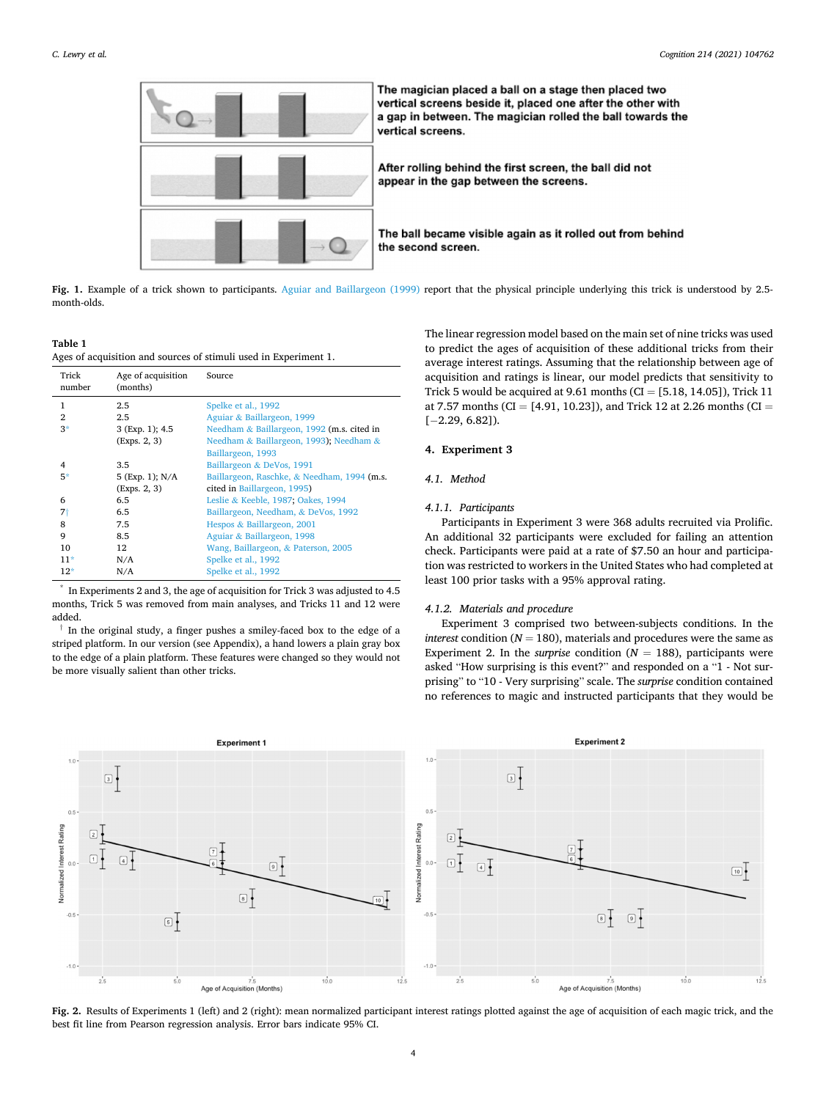<span id="page-3-0"></span>

Fig. 1. Example of a trick shown to participants. [Aguiar and Baillargeon \(1999\)](#page-5-0) report that the physical principle underlying this trick is understood by 2.5month-olds.

#### **Table 1**

Ages of acquisition and sources of stimuli used in Experiment 1.

| Trick<br>number | Age of acquisition<br>(months) | Source                                      |
|-----------------|--------------------------------|---------------------------------------------|
| 1               | 2.5                            | Spelke et al., 1992                         |
| $\mathfrak{D}$  | 2.5                            | Aguiar & Baillargeon, 1999                  |
| $3*$            | 3 (Exp. 1); 4.5                | Needham & Baillargeon, 1992 (m.s. cited in  |
|                 | (Exps. 2, 3)                   | Needham & Baillargeon, 1993); Needham &     |
|                 |                                | Baillargeon, 1993                           |
| 4               | 3.5                            | Baillargeon & DeVos, 1991                   |
| $5*$            | 5 (Exp. 1); N/A                | Baillargeon, Raschke, & Needham, 1994 (m.s. |
|                 | (Exps. 2, 3)                   | cited in Baillargeon, 1995)                 |
| 6               | 6.5                            | Leslie & Keeble, 1987; Oakes, 1994          |
| 7†              | 6.5                            | Baillargeon, Needham, & DeVos, 1992         |
| 8               | 7.5                            | Hespos & Baillargeon, 2001                  |
| 9               | 8.5                            | Aguiar & Baillargeon, 1998                  |
| 10              | $12 \overline{ }$              | Wang, Baillargeon, & Paterson, 2005         |
| $11*$           | N/A                            | Spelke et al., 1992                         |
| $12*$           | N/A                            | Spelke et al., 1992                         |

In Experiments 2 and 3, the age of acquisition for Trick 3 was adjusted to 4.5 months, Trick 5 was removed from main analyses, and Tricks 11 and 12 were added.

In the original study, a finger pushes a smiley-faced box to the edge of a striped platform. In our version (see Appendix), a hand lowers a plain gray box to the edge of a plain platform. These features were changed so they would not be more visually salient than other tricks.

The linear regression model based on the main set of nine tricks was used to predict the ages of acquisition of these additional tricks from their average interest ratings. Assuming that the relationship between age of acquisition and ratings is linear, our model predicts that sensitivity to Trick 5 would be acquired at  $9.61$  months (CI = [5.18, 14.05]), Trick 11 at 7.57 months (CI = [4.91, 10.23]), and Trick 12 at 2.26 months (CI = [− 2.29, 6.82]).

# **4. Experiment 3**

#### *4.1. Method*

# *4.1.1. Participants*

Participants in Experiment 3 were 368 adults recruited via Prolific. An additional 32 participants were excluded for failing an attention check. Participants were paid at a rate of \$7.50 an hour and participation was restricted to workers in the United States who had completed at least 100 prior tasks with a 95% approval rating.

# *4.1.2. Materials and procedure*

Experiment 3 comprised two between-subjects conditions. In the *interest* condition ( $N = 180$ ), materials and procedures were the same as Experiment 2. In the *surprise* condition  $(N = 188)$ , participants were asked "How surprising is this event?" and responded on a "1 - Not surprising" to "10 - Very surprising" scale. The *surprise* condition contained no references to magic and instructed participants that they would be



**Fig. 2.** Results of Experiments 1 (left) and 2 (right): mean normalized participant interest ratings plotted against the age of acquisition of each magic trick, and the best fit line from Pearson regression analysis. Error bars indicate 95% CI.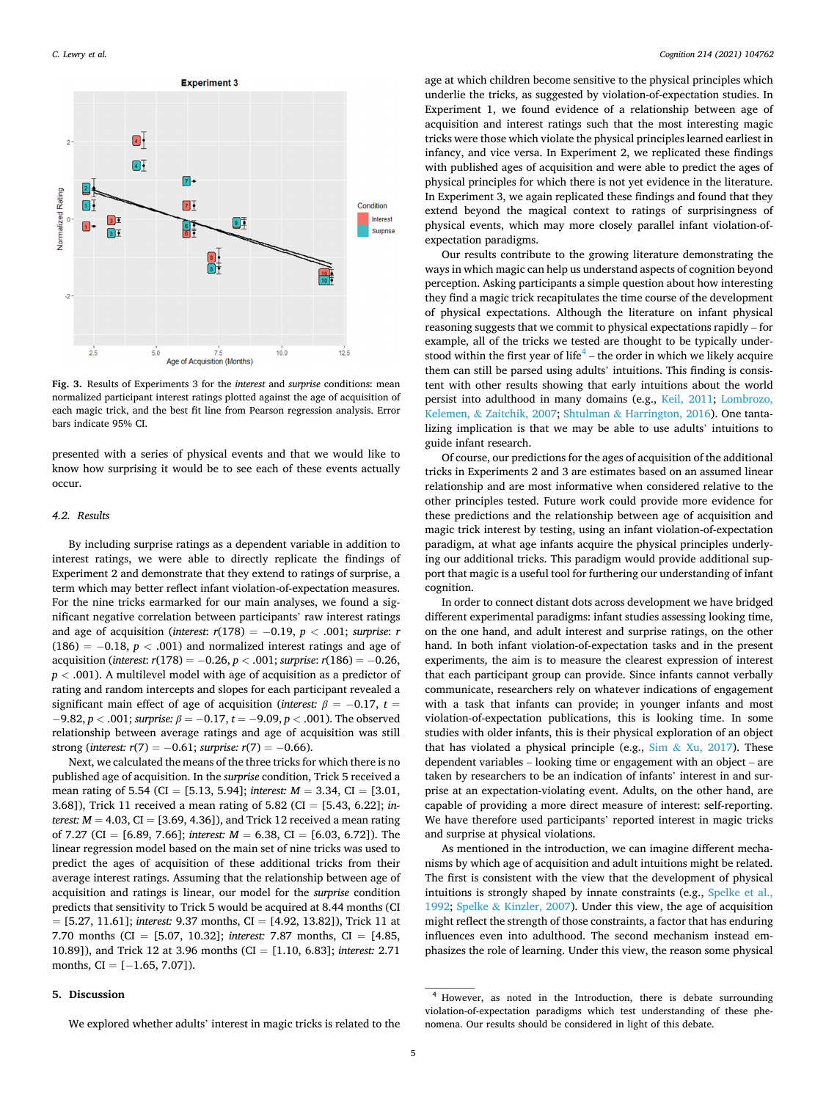<span id="page-4-0"></span>

**Fig. 3.** Results of Experiments 3 for the *interest* and *surprise* conditions: mean normalized participant interest ratings plotted against the age of acquisition of each magic trick, and the best fit line from Pearson regression analysis. Error bars indicate 95% CI.

presented with a series of physical events and that we would like to know how surprising it would be to see each of these events actually occur.

#### *4.2. Results*

By including surprise ratings as a dependent variable in addition to interest ratings, we were able to directly replicate the findings of Experiment 2 and demonstrate that they extend to ratings of surprise, a term which may better reflect infant violation-of-expectation measures. For the nine tricks earmarked for our main analyses, we found a significant negative correlation between participants' raw interest ratings and age of acquisition (*interest*: *r*(178) = − 0.19, *p <* .001; *surprise*: *r*   $(186) = -0.18$ ,  $p < .001$ ) and normalized interest ratings and age of acquisition (*interest*: *r*(178) = − 0.26, *p <* .001; *surprise*: *r*(186) = − 0.26, *p <* .001). A multilevel model with age of acquisition as a predictor of rating and random intercepts and slopes for each participant revealed a significant main effect of age of acquisition (*interest:*  $\beta = -0.17$ ,  $t =$ − 9.82, *p <* .001; *surprise: β* = − 0.17, *t* = − 9.09, *p <* .001). The observed relationship between average ratings and age of acquisition was still strong (*interest:*  $r(7) = -0.61$ ; *surprise:*  $r(7) = -0.66$ ).

Next, we calculated the means of the three tricks for which there is no published age of acquisition. In the *surprise* condition, Trick 5 received a mean rating of 5.54 (CI = [5.13, 5.94]; *interest: M* = 3.34, CI = [3.01, 3.68]), Trick 11 received a mean rating of 5.82 (CI = [5.43, 6.22]; *interest:*  $M = 4.03$ ,  $CI = [3.69, 4.36]$ , and Trick 12 received a mean rating of 7.27 (CI = [6.89, 7.66]; *interest:*  $M = 6.38$ , CI = [6.03, 6.72]). The linear regression model based on the main set of nine tricks was used to predict the ages of acquisition of these additional tricks from their average interest ratings. Assuming that the relationship between age of acquisition and ratings is linear, our model for the *surprise* condition predicts that sensitivity to Trick 5 would be acquired at 8.44 months (CI = [5.27, 11.61]; *interest:* 9.37 months, CI = [4.92, 13.82]), Trick 11 at 7.70 months (CI = [5.07, 10.32]; *interest:* 7.87 months, CI = [4.85, 10.89]), and Trick 12 at 3.96 months (CI = [1.10, 6.83]; *interest:* 2.71 months,  $CI = [-1.65, 7.07]$ .

# **5. Discussion**

age at which children become sensitive to the physical principles which underlie the tricks, as suggested by violation-of-expectation studies. In Experiment 1, we found evidence of a relationship between age of acquisition and interest ratings such that the most interesting magic tricks were those which violate the physical principles learned earliest in infancy, and vice versa. In Experiment 2, we replicated these findings with published ages of acquisition and were able to predict the ages of physical principles for which there is not yet evidence in the literature. In Experiment 3, we again replicated these findings and found that they extend beyond the magical context to ratings of surprisingness of physical events, which may more closely parallel infant violation-ofexpectation paradigms.

Our results contribute to the growing literature demonstrating the ways in which magic can help us understand aspects of cognition beyond perception. Asking participants a simple question about how interesting they find a magic trick recapitulates the time course of the development of physical expectations. Although the literature on infant physical reasoning suggests that we commit to physical expectations rapidly – for example, all of the tricks we tested are thought to be typically understood within the first year of life<sup>4</sup> – the order in which we likely acquire them can still be parsed using adults' intuitions. This finding is consistent with other results showing that early intuitions about the world persist into adulthood in many domains (e.g., [Keil, 2011;](#page-5-0) [Lombrozo,](#page-5-0)  Kelemen, & [Zaitchik, 2007;](#page-5-0) Shtulman & [Harrington, 2016\)](#page-5-0). One tantalizing implication is that we may be able to use adults' intuitions to guide infant research.

Of course, our predictions for the ages of acquisition of the additional tricks in Experiments 2 and 3 are estimates based on an assumed linear relationship and are most informative when considered relative to the other principles tested. Future work could provide more evidence for these predictions and the relationship between age of acquisition and magic trick interest by testing, using an infant violation-of-expectation paradigm, at what age infants acquire the physical principles underlying our additional tricks. This paradigm would provide additional support that magic is a useful tool for furthering our understanding of infant cognition.

In order to connect distant dots across development we have bridged different experimental paradigms: infant studies assessing looking time, on the one hand, and adult interest and surprise ratings, on the other hand. In both infant violation-of-expectation tasks and in the present experiments, the aim is to measure the clearest expression of interest that each participant group can provide. Since infants cannot verbally communicate, researchers rely on whatever indications of engagement with a task that infants can provide; in younger infants and most violation-of-expectation publications, this is looking time. In some studies with older infants, this is their physical exploration of an object that has violated a physical principle (e.g.,  $Sim & Xu, 2017$  $Sim & Xu, 2017$ ). These dependent variables – looking time or engagement with an object – are taken by researchers to be an indication of infants' interest in and surprise at an expectation-violating event. Adults, on the other hand, are capable of providing a more direct measure of interest: self-reporting. We have therefore used participants' reported interest in magic tricks and surprise at physical violations.

As mentioned in the introduction, we can imagine different mechanisms by which age of acquisition and adult intuitions might be related. The first is consistent with the view that the development of physical intuitions is strongly shaped by innate constraints (e.g., [Spelke et al.,](#page-5-0)  [1992;](#page-5-0) Spelke & [Kinzler, 2007\)](#page-5-0). Under this view, the age of acquisition might reflect the strength of those constraints, a factor that has enduring influences even into adulthood. The second mechanism instead emphasizes the role of learning. Under this view, the reason some physical

We explored whether adults' interest in magic tricks is related to the

<sup>4</sup> However, as noted in the Introduction, there is debate surrounding violation-of-expectation paradigms which test understanding of these phenomena. Our results should be considered in light of this debate.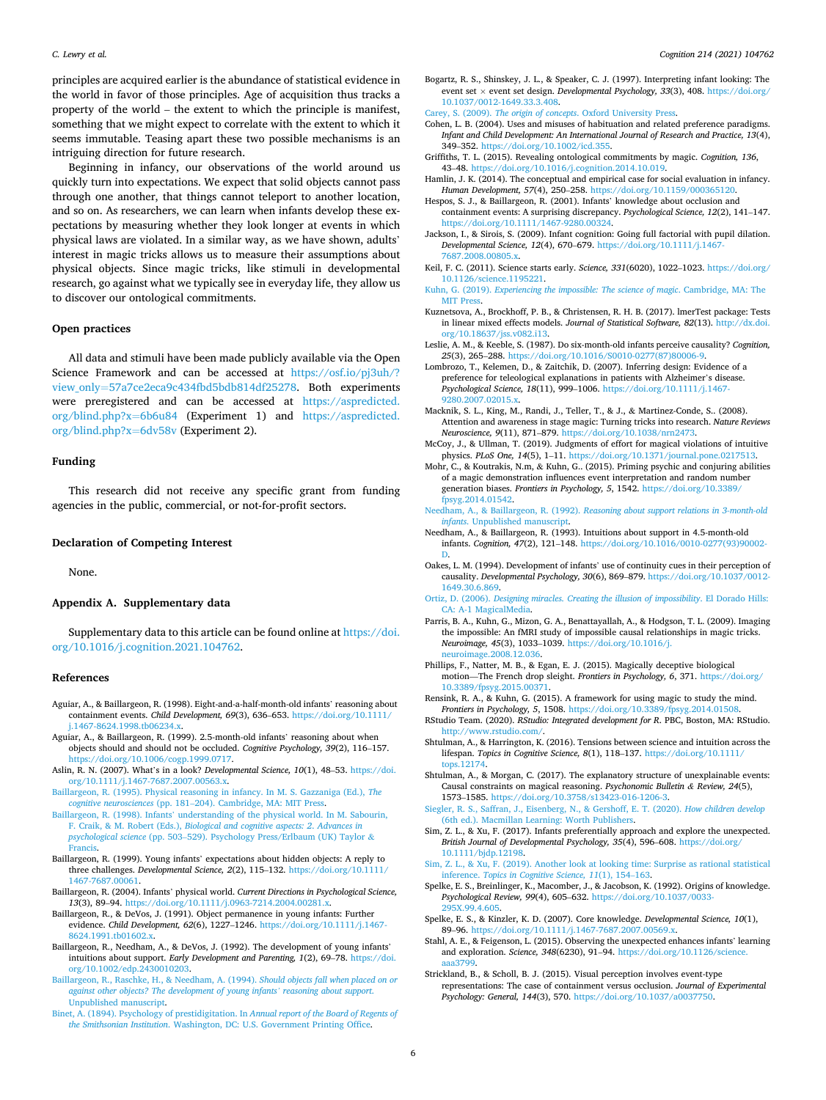<span id="page-5-0"></span>principles are acquired earlier is the abundance of statistical evidence in the world in favor of those principles. Age of acquisition thus tracks a property of the world – the extent to which the principle is manifest, something that we might expect to correlate with the extent to which it seems immutable. Teasing apart these two possible mechanisms is an intriguing direction for future research.

Beginning in infancy, our observations of the world around us quickly turn into expectations. We expect that solid objects cannot pass through one another, that things cannot teleport to another location, and so on. As researchers, we can learn when infants develop these expectations by measuring whether they look longer at events in which physical laws are violated. In a similar way, as we have shown, adults' interest in magic tricks allows us to measure their assumptions about physical objects. Since magic tricks, like stimuli in developmental research, go against what we typically see in everyday life, they allow us to discover our ontological commitments.

## **Open practices**

All data and stimuli have been made publicly available via the Open Science Framework and can be accessed at [https://osf.io/pj3uh/?](https://osf.io/pj3uh/?view_only=57a7ce2eca9c434fbd5bdb814df25278)  view\_only=[57a7ce2eca9c434fbd5bdb814df25278.](https://osf.io/pj3uh/?view_only=57a7ce2eca9c434fbd5bdb814df25278) Both experiments were preregistered and can be accessed at [https://aspredicted.](https://aspredicted.org/blind.php?x=6b6u84)  [org/blind.php?x](https://aspredicted.org/blind.php?x=6b6u84)=6b6u84 (Experiment 1) and [https://aspredicted.](https://aspredicted.org/blind.php?x=6dv58v)  [org/blind.php?x](https://aspredicted.org/blind.php?x=6dv58v)=6dv58v (Experiment 2).

# **Funding**

This research did not receive any specific grant from funding agencies in the public, commercial, or not-for-profit sectors.

## **Declaration of Competing Interest**

None.

### **Appendix A. Supplementary data**

Supplementary data to this article can be found online at [https://doi.](https://doi.org/10.1016/j.cognition.2021.104762)  [org/10.1016/j.cognition.2021.104762](https://doi.org/10.1016/j.cognition.2021.104762).

#### **References**

- Aguiar, A., & Baillargeon, R. (1998). Eight-and-a-half-month-old infants' reasoning about containment events. *Child Development, 69*(3), 636–653. [https://doi.org/10.1111/](https://doi.org/10.1111/j.1467-8624.1998.tb06234.x)  [j.1467-8624.1998.tb06234.x.](https://doi.org/10.1111/j.1467-8624.1998.tb06234.x)
- Aguiar, A., & Baillargeon, R. (1999). 2.5-month-old infants' reasoning about when objects should and should not be occluded. *Cognitive Psychology, 39*(2), 116–157. [https://doi.org/10.1006/cogp.1999.0717.](https://doi.org/10.1006/cogp.1999.0717)
- Aslin, R. N. (2007). What's in a look? *Developmental Science, 10*(1), 48–53. [https://doi.](https://doi.org/10.1111/j.1467-7687.2007.00563.x)  [org/10.1111/j.1467-7687.2007.00563.x.](https://doi.org/10.1111/j.1467-7687.2007.00563.x)
- [Baillargeon, R. \(1995\). Physical reasoning in infancy. In M. S. Gazzaniga \(Ed.\),](http://refhub.elsevier.com/S0010-0277(21)00181-5/rf0020) *The cognitive neurosciences* (pp. 181–[204\). Cambridge, MA: MIT Press.](http://refhub.elsevier.com/S0010-0277(21)00181-5/rf0020)
- Baillargeon, R. (1998). Infants' [understanding of the physical world. In M. Sabourin,](http://refhub.elsevier.com/S0010-0277(21)00181-5/optj87eLWLcaO)  F. Craik, & M. Robert (Eds.), *[Biological and cognitive aspects: 2](http://refhub.elsevier.com/S0010-0277(21)00181-5/optj87eLWLcaO)*. *Advances in psychological science* (pp. 503–[529\). Psychology Press/Erlbaum \(UK\) Taylor](http://refhub.elsevier.com/S0010-0277(21)00181-5/optj87eLWLcaO) & [Francis.](http://refhub.elsevier.com/S0010-0277(21)00181-5/optj87eLWLcaO)
- Baillargeon, R. (1999). Young infants' expectations about hidden objects: A reply to three challenges. *Developmental Science, 2*(2), 115–132. [https://doi.org/10.1111/](https://doi.org/10.1111/1467-7687.00061) [1467-7687.00061](https://doi.org/10.1111/1467-7687.00061).
- Baillargeon, R. (2004). Infants' physical world. *Current Directions in Psychological Science, 13*(3), 89–94.<https://doi.org/10.1111/j.0963-7214.2004.00281.x>.
- Baillargeon, R., & DeVos, J. (1991). Object permanence in young infants: Further evidence. *Child Development, 62*(6), 1227–1246. [https://doi.org/10.1111/j.1467-](https://doi.org/10.1111/j.1467-8624.1991.tb01602.x) [8624.1991.tb01602.x.](https://doi.org/10.1111/j.1467-8624.1991.tb01602.x)
- Baillargeon, R., Needham, A., & DeVos, J. (1992). The development of young infants' intuitions about support. *Early Development and Parenting, 1*(2), 69–78. [https://doi.](https://doi.org/10.1002/edp.2430010203)  [org/10.1002/edp.2430010203](https://doi.org/10.1002/edp.2430010203).
- [Baillargeon, R., Raschke, H., & Needham, A. \(1994\).](http://refhub.elsevier.com/S0010-0277(21)00181-5/rf0050) *Should objects fall when placed on or [against other objects? The development of young infants](http://refhub.elsevier.com/S0010-0277(21)00181-5/rf0050)' reasoning about support*. [Unpublished manuscript.](http://refhub.elsevier.com/S0010-0277(21)00181-5/rf0050)
- [Binet, A. \(1894\). Psychology of prestidigitation. In](http://refhub.elsevier.com/S0010-0277(21)00181-5/rf0055) *Annual report of the Board of Regents of the Smithsonian Institution*[. Washington, DC: U.S. Government Printing Office](http://refhub.elsevier.com/S0010-0277(21)00181-5/rf0055).
- Bogartz, R. S., Shinskey, J. L., & Speaker, C. J. (1997). Interpreting infant looking: The event set × event set design. *Developmental Psychology, 33*(3), 408. [https://doi.org/](https://doi.org/10.1037/0012-1649.33.3.408)  [10.1037/0012-1649.33.3.408.](https://doi.org/10.1037/0012-1649.33.3.408)
- Carey, S. (2009). *The origin of concepts*[. Oxford University Press](http://refhub.elsevier.com/S0010-0277(21)00181-5/rf0065).
- Cohen, L. B. (2004). Uses and misuses of habituation and related preference paradigms. *Infant and Child Development: An International Journal of Research and Practice, 13*(4), 349–352. <https://doi.org/10.1002/icd.355>.
- Griffiths, T. L. (2015). Revealing ontological commitments by magic. *Cognition, 136*, 43–48. [https://doi.org/10.1016/j.cognition.2014.10.019.](https://doi.org/10.1016/j.cognition.2014.10.019)
- Hamlin, J. K. (2014). The conceptual and empirical case for social evaluation in infancy. *Human Development, 57*(4), 250–258. <https://doi.org/10.1159/000365120>.
- Hespos, S. J., & Baillargeon, R. (2001). Infants' knowledge about occlusion and containment events: A surprising discrepancy. *Psychological Science, 12*(2), 141–147. [https://doi.org/10.1111/1467-9280.00324.](https://doi.org/10.1111/1467-9280.00324)
- Jackson, I., & Sirois, S. (2009). Infant cognition: Going full factorial with pupil dilation. *Developmental Science, 12*(4), 670–679. [https://doi.org/10.1111/j.1467-](https://doi.org/10.1111/j.1467-7687.2008.00805.x)  [7687.2008.00805.x.](https://doi.org/10.1111/j.1467-7687.2008.00805.x)
- Keil, F. C. (2011). Science starts early. *Science, 331*(6020), 1022–1023. [https://doi.org/](https://doi.org/10.1126/science.1195221)  [10.1126/science.1195221](https://doi.org/10.1126/science.1195221).
- Kuhn, G. (2019). *[Experiencing the impossible: The science of magic](http://refhub.elsevier.com/S0010-0277(21)00181-5/rf0100)*. Cambridge, MA: The MIT Pres
- Kuznetsova, A., Brockhoff, P. B., & Christensen, R. H. B. (2017). lmerTest package: Tests in linear mixed effects models. *Journal of Statistical Software, 82*(13). [http://dx.doi.](http://dx.doi.org/10.18637/jss.v082.i13)  [org/10.18637/jss.v082.i13.](http://dx.doi.org/10.18637/jss.v082.i13)
- Leslie, A. M., & Keeble, S. (1987). Do six-month-old infants perceive causality? *Cognition, 25*(3), 265–288. [https://doi.org/10.1016/S0010-0277\(87\)80006-9.](https://doi.org/10.1016/S0010-0277(87)80006-9)
- Lombrozo, T., Kelemen, D., & Zaitchik, D. (2007). Inferring design: Evidence of a preference for teleological explanations in patients with Alzheimer's disease. *Psychological Science, 18*(11), 999–1006. [https://doi.org/10.1111/j.1467-](https://doi.org/10.1111/j.1467-9280.2007.02015.x)  [9280.2007.02015.x.](https://doi.org/10.1111/j.1467-9280.2007.02015.x)
- Macknik, S. L., King, M., Randi, J., Teller, T., & J., & Martinez-Conde, S.. (2008). Attention and awareness in stage magic: Turning tricks into research. *Nature Reviews Neuroscience, 9*(11), 871–879.<https://doi.org/10.1038/nrn2473>.
- McCoy, J., & Ullman, T. (2019). Judgments of effort for magical violations of intuitive physics. *PLoS One, 14*(5), 1–11. [https://doi.org/10.1371/journal.pone.0217513.](https://doi.org/10.1371/journal.pone.0217513)
- Mohr, C., & Koutrakis, N.m, & Kuhn, G.. (2015). Priming psychic and conjuring abilities of a magic demonstration influences event interpretation and random number generation biases. *Frontiers in Psychology, 5*, 1542. [https://doi.org/10.3389/](https://doi.org/10.3389/fpsyg.2014.01542) [fpsyg.2014.01542](https://doi.org/10.3389/fpsyg.2014.01542).
- Needham, A., & Baillargeon, R. (1992). *[Reasoning about support relations in 3-month-old](http://refhub.elsevier.com/S0010-0277(21)00181-5/rf0140)  infants*[. Unpublished manuscript.](http://refhub.elsevier.com/S0010-0277(21)00181-5/rf0140)
- Needham, A., & Baillargeon, R. (1993). Intuitions about support in 4.5-month-old infants. *Cognition, 47*(2), 121–148. [https://doi.org/10.1016/0010-0277\(93\)90002-](https://doi.org/10.1016/0010-0277(93)90002-D) [D.](https://doi.org/10.1016/0010-0277(93)90002-D)
- Oakes, L. M. (1994). Development of infants' use of continuity cues in their perception of causality. *Developmental Psychology, 30*(6), 869–879. [https://doi.org/10.1037/0012-](https://doi.org/10.1037/0012-1649.30.6.869)  [1649.30.6.869.](https://doi.org/10.1037/0012-1649.30.6.869)
- Ortiz, D. (2006). *[Designing miracles. Creating the illusion of impossibility](http://refhub.elsevier.com/S0010-0277(21)00181-5/rf0155)*. El Dorado Hills: [CA: A-1 MagicalMedia.](http://refhub.elsevier.com/S0010-0277(21)00181-5/rf0155)
- Parris, B. A., Kuhn, G., Mizon, G. A., Benattayallah, A., & Hodgson, T. L. (2009). Imaging the impossible: An fMRI study of impossible causal relationships in magic tricks. *Neuroimage, 45*(3), 1033–1039. [https://doi.org/10.1016/j.](https://doi.org/10.1016/j.neuroimage.2008.12.036)  [neuroimage.2008.12.036.](https://doi.org/10.1016/j.neuroimage.2008.12.036)
- Phillips, F., Natter, M. B., & Egan, E. J. (2015). Magically deceptive biological motion—The French drop sleight. *Frontiers in Psychology, 6*, 371. [https://doi.org/](https://doi.org/10.3389/fpsyg.2015.00371) [10.3389/fpsyg.2015.00371.](https://doi.org/10.3389/fpsyg.2015.00371)

Rensink, R. A., & Kuhn, G. (2015). A framework for using magic to study the mind. *Frontiers in Psychology, 5*, 1508. [https://doi.org/10.3389/fpsyg.2014.01508.](https://doi.org/10.3389/fpsyg.2014.01508)

RStudio Team. (2020). *RStudio: Integrated development for R*. PBC, Boston, MA: RStudio. [http://www.rstudio.com/.](http://www.rstudio.com/)

- Shtulman, A., & Harrington, K. (2016). Tensions between science and intuition across the lifespan. *Topics in Cognitive Science, 8*(1), 118–137. [https://doi.org/10.1111/](https://doi.org/10.1111/tops.12174)  [tops.12174](https://doi.org/10.1111/tops.12174).
- Shtulman, A., & Morgan, C. (2017). The explanatory structure of unexplainable events: Causal constraints on magical reasoning. *Psychonomic Bulletin & Review, 24*(5), 1573–1585.<https://doi.org/10.3758/s13423-016-1206-3>.
- [Siegler, R. S., Saffran, J., Eisenberg, N., & Gershoff, E. T. \(2020\).](http://refhub.elsevier.com/S0010-0277(21)00181-5/rf0190) *How children develop*  [\(6th ed.\). Macmillan Learning: Worth Publishers.](http://refhub.elsevier.com/S0010-0277(21)00181-5/rf0190)
- Sim, Z. L., & Xu, F. (2017). Infants preferentially approach and explore the unexpected. *British Journal of Developmental Psychology, 35*(4), 596–608. [https://doi.org/](https://doi.org/10.1111/bjdp.12198) [10.1111/bjdp.12198](https://doi.org/10.1111/bjdp.12198).
- [Sim, Z. L., & Xu, F. \(2019\). Another look at looking time: Surprise as rational statistical](http://refhub.elsevier.com/S0010-0277(21)00181-5/optv4kP4xzd6N)  inference. *[Topics in Cognitive Science, 11](http://refhub.elsevier.com/S0010-0277(21)00181-5/optv4kP4xzd6N)*(1), 154–163.
- Spelke, E. S., Breinlinger, K., Macomber, J., & Jacobson, K. (1992). Origins of knowledge. *Psychological Review, 99*(4), 605–632. [https://doi.org/10.1037/0033-](https://doi.org/10.1037/0033-295X.99.4.605) 205 X.99
- Spelke, E. S., & Kinzler, K. D. (2007). Core knowledge. *Developmental Science, 10*(1), 89-96. https://doi.org/10.1111/j.1467-7687.2007.00569
- Stahl, A. E., & Feigenson, L. (2015). Observing the unexpected enhances infants' learning and exploration. *Science, 348*(6230), 91–94. [https://doi.org/10.1126/science.](https://doi.org/10.1126/science.aaa3799)  [aaa3799.](https://doi.org/10.1126/science.aaa3799)
- Strickland, B., & Scholl, B. J. (2015). Visual perception involves event-type representations: The case of containment versus occlusion. *Journal of Experimental Psychology: General, 144*(3), 570. <https://doi.org/10.1037/a0037750>.